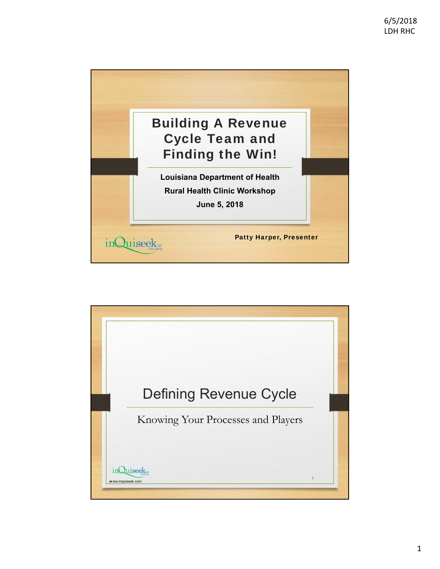

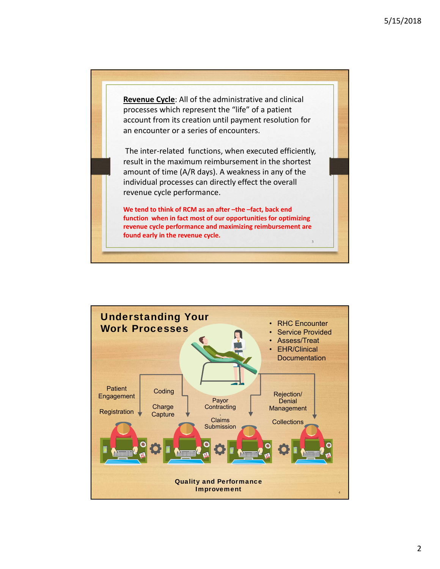**Revenue Cycle**: All of the administrative and clinical processes which represent the "life" of a patient account from its creation until payment resolution for an encounter or a series of encounters. The inter‐related functions, when executed efficiently, result in the maximum reimbursement in the shortest amount of time (A/R days). A weakness in any of the individual processes can directly effect the overall revenue cycle performance. **We tend to think of RCM as an after –the –fact, back end function when in fact most of our opportunities for optimizing**

**revenue cycle performance and maximizing reimbursement are** 

3

**found early in the revenue cycle.**

Understanding Your Work Processes **Patient Engagement Registration Coding Charge Capture** Payor **Contracting** . Claims Submission Rejection/ **Denial Management Collections** • RHC Encounter Service Provided • Assess/Treat • EHR/Clinical **Documentation** Quality and Performance **Improvement**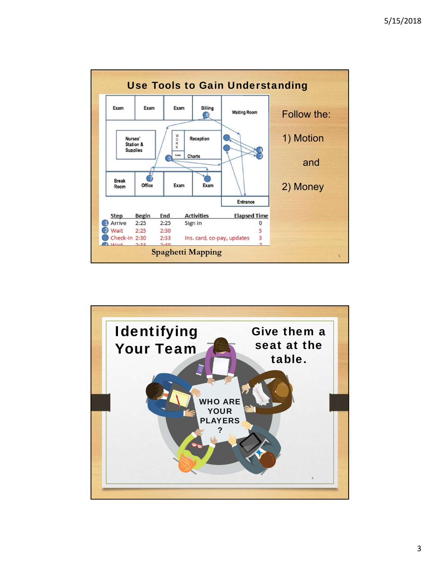

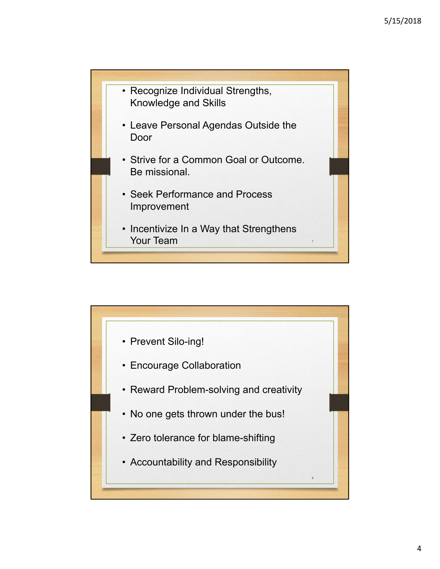

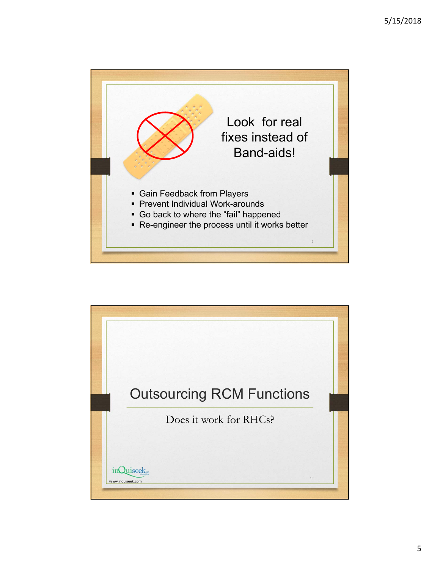

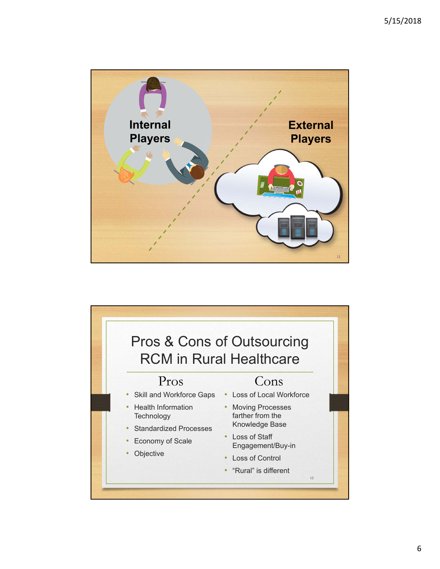

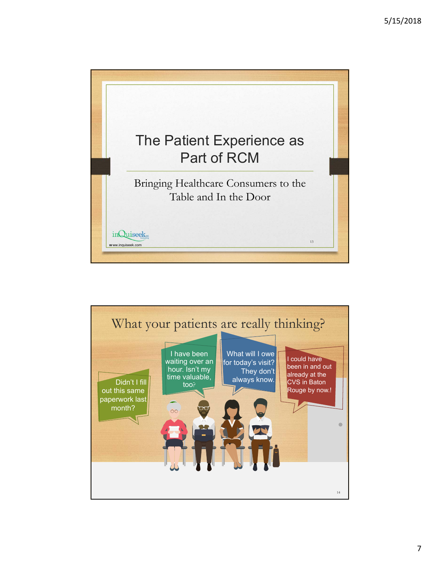

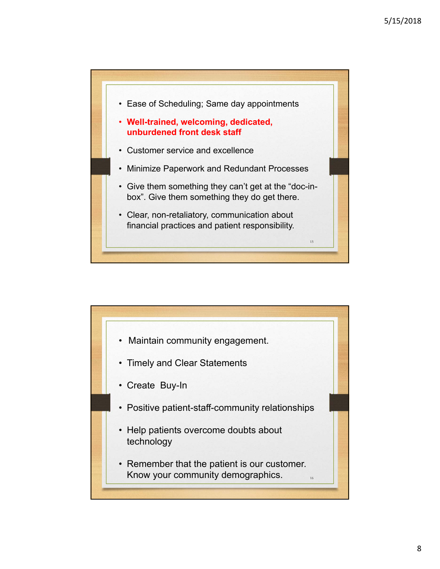

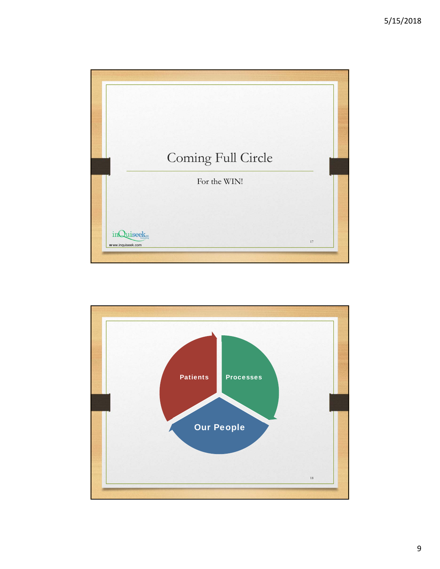